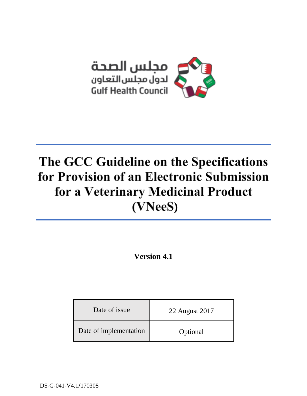

# The GCC Guideline on the Specifications for Provision of an Electronic Submission for a Veterinary Medicinal Product **)**

**Version 4.1**

| Date of issue          | 22 August 2017 |
|------------------------|----------------|
| Date of implementation | Optional       |

DS-G-041-V4.1/170308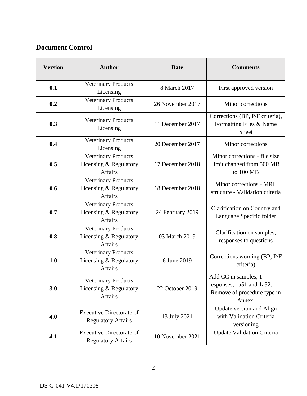# **Document Control**

| <b>Version</b> | <b>Author</b>                                                          | <b>Date</b>      | <b>Comments</b>                                                                             |
|----------------|------------------------------------------------------------------------|------------------|---------------------------------------------------------------------------------------------|
| 0.1            | <b>Veterinary Products</b><br>Licensing                                | 8 March 2017     | First approved version                                                                      |
| 0.2            | <b>Veterinary Products</b><br>Licensing                                | 26 November 2017 | Minor corrections                                                                           |
| 0.3            | <b>Veterinary Products</b><br>Licensing                                | 11 December 2017 | Corrections (BP, P/F criteria),<br>Formatting Files & Name<br><b>Sheet</b>                  |
| 0.4            | <b>Veterinary Products</b><br>Licensing                                | 20 December 2017 | Minor corrections                                                                           |
| 0.5            | <b>Veterinary Products</b><br>Licensing & Regulatory<br><b>Affairs</b> | 17 December 2018 | Minor corrections - file size<br>limit changed from 500 MB<br>to 100 MB                     |
| 0.6            | <b>Veterinary Products</b><br>Licensing & Regulatory<br><b>Affairs</b> | 18 December 2018 | Minor corrections - MRL<br>structure - Validation criteria                                  |
| 0.7            | Veterinary Products<br>Licensing & Regulatory<br><b>Affairs</b>        | 24 February 2019 | Clarification on Country and<br>Language Specific folder                                    |
| 0.8            | Veterinary Products<br>Licensing & Regulatory<br><b>Affairs</b>        | 03 March 2019    | Clarification on samples,<br>responses to questions                                         |
| 1.0            | Veterinary Products<br>Licensing & Regulatory<br><b>Affairs</b>        | 6 June 2019      | Corrections wording (BP, P/F)<br>criteria)                                                  |
| 3.0            | <b>Veterinary Products</b><br>Licensing & Regulatory<br><b>Affairs</b> | 22 October 2019  | Add CC in samples, 1-<br>responses, 1a51 and 1a52.<br>Remove of procedure type in<br>Annex. |
| 4.0            | <b>Executive Directorate of</b><br><b>Regulatory Affairs</b>           | 13 July 2021     | Update version and Align<br>with Validation Criteria<br>versioning                          |
| 4.1            | <b>Executive Directorate of</b><br><b>Regulatory Affairs</b>           | 10 November 2021 | <b>Update Validation Criteria</b>                                                           |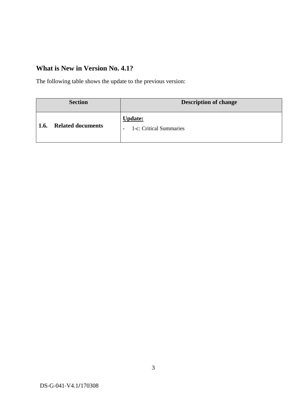# **What is New in Version No. 4.1?**

The following table shows the update to the previous version:

|      | <b>Section</b>           | <b>Description of change</b>                                          |
|------|--------------------------|-----------------------------------------------------------------------|
| 1.6. | <b>Related documents</b> | <b>Update:</b><br>1-c: Critical Summaries<br>$\overline{\phantom{0}}$ |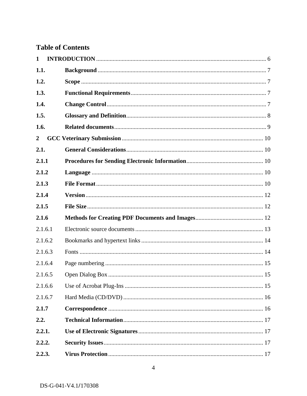# **Table of Contents**

| 1                |  |
|------------------|--|
| 1.1.             |  |
| 1.2.             |  |
| 1.3.             |  |
| 1.4.             |  |
| 1.5.             |  |
| 1.6.             |  |
| $\boldsymbol{2}$ |  |
| 2.1.             |  |
| 2.1.1            |  |
| 2.1.2            |  |
| 2.1.3            |  |
| 2.1.4            |  |
| 2.1.5            |  |
| 2.1.6            |  |
| 2.1.6.1          |  |
| 2.1.6.2          |  |
| 2.1.6.3          |  |
| 2.1.6.4          |  |
| 2.1.6.5          |  |
| 2.1.6.6          |  |
| 2.1.6.7          |  |
| 2.1.7            |  |
| 2.2.             |  |
| 2.2.1.           |  |
| 2.2.2.           |  |
| 2.2.3.           |  |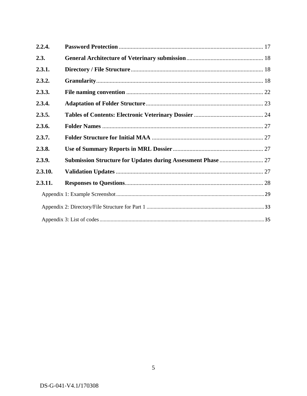| 2.2.4.  |  |  |  |
|---------|--|--|--|
| 2.3.    |  |  |  |
| 2.3.1.  |  |  |  |
| 2.3.2.  |  |  |  |
| 2.3.3.  |  |  |  |
| 2.3.4.  |  |  |  |
| 2.3.5.  |  |  |  |
| 2.3.6.  |  |  |  |
| 2.3.7.  |  |  |  |
| 2.3.8.  |  |  |  |
| 2.3.9.  |  |  |  |
| 2.3.10. |  |  |  |
| 2.3.11. |  |  |  |
|         |  |  |  |
|         |  |  |  |
|         |  |  |  |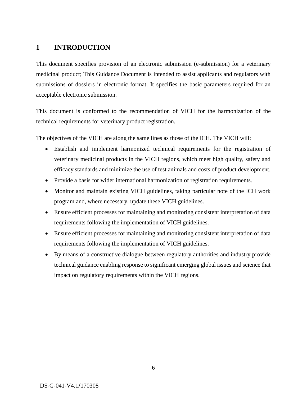# <span id="page-5-0"></span>**1 INTRODUCTION**

This document specifies provision of an electronic submission (e-submission) for a veterinary medicinal product; This Guidance Document is intended to assist applicants and regulators with submissions of dossiers in electronic format. It specifies the basic parameters required for an acceptable electronic submission.

This document is conformed to the recommendation of VICH for the harmonization of the technical requirements for veterinary product registration.

The objectives of the VICH are along the same lines as those of the ICH. The VICH will:

- Establish and implement harmonized technical requirements for the registration of veterinary medicinal products in the VICH regions, which meet high quality, safety and efficacy standards and minimize the use of test animals and costs of product development.
- Provide a basis for wider international harmonization of registration requirements.
- Monitor and maintain existing VICH guidelines, taking particular note of the ICH work program and, where necessary, update these VICH guidelines.
- Ensure efficient processes for maintaining and monitoring consistent interpretation of data requirements following the implementation of VICH guidelines.
- Ensure efficient processes for maintaining and monitoring consistent interpretation of data requirements following the implementation of VICH guidelines.
- By means of a constructive dialogue between regulatory authorities and industry provide technical guidance enabling response to significant emerging global issues and science that impact on regulatory requirements within the VICH regions.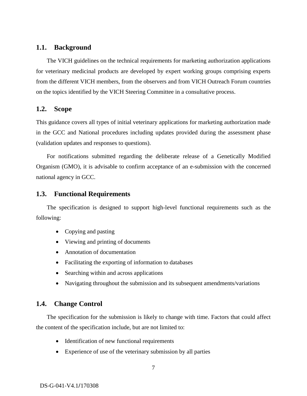# <span id="page-6-0"></span>**1.1. Background**

The VICH guidelines on the technical requirements for marketing authorization applications for veterinary medicinal products are developed by expert working groups comprising experts from the different VICH members, from the observers and from VICH Outreach Forum countries on the topics identified by the VICH Steering Committee in a consultative process.

# <span id="page-6-1"></span>**1.2. Scope**

This guidance covers all types of initial veterinary applications for marketing authorization made in the GCC and National procedures including updates provided during the assessment phase (validation updates and responses to questions).

For notifications submitted regarding the deliberate release of a Genetically Modified Organism (GMO), it is advisable to confirm acceptance of an e-submission with the concerned national agency in GCC.

# <span id="page-6-2"></span>**1.3. Functional Requirements**

The specification is designed to support high-level functional requirements such as the following:

- Copying and pasting
- Viewing and printing of documents
- Annotation of documentation
- Facilitating the exporting of information to databases
- Searching within and across applications
- Navigating throughout the submission and its subsequent amendments/variations

# <span id="page-6-3"></span>**1.4. Change Control**

The specification for the submission is likely to change with time. Factors that could affect the content of the specification include, but are not limited to:

- Identification of new functional requirements
- Experience of use of the veterinary submission by all parties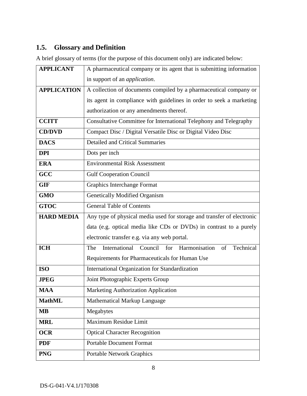# <span id="page-7-0"></span>**1.5. Glossary and Definition**

A brief glossary of terms (for the purpose of this document only) are indicated below:

| <b>APPLICANT</b>   | A pharmaceutical company or its agent that is submitting information   |  |
|--------------------|------------------------------------------------------------------------|--|
|                    | in support of an <i>application</i> .                                  |  |
| <b>APPLICATION</b> | A collection of documents compiled by a pharmaceutical company or      |  |
|                    | its agent in compliance with guidelines in order to seek a marketing   |  |
|                    | authorization or any amendments thereof.                               |  |
| <b>CCITT</b>       | Consultative Committee for International Telephony and Telegraphy      |  |
| <b>CD/DVD</b>      | Compact Disc / Digital Versatile Disc or Digital Video Disc            |  |
| <b>DACS</b>        | <b>Detailed and Critical Summaries</b>                                 |  |
| <b>DPI</b>         | Dots per inch                                                          |  |
| <b>ERA</b>         | <b>Environmental Risk Assessment</b>                                   |  |
| GCC                | <b>Gulf Cooperation Council</b>                                        |  |
| <b>GIF</b>         | Graphics Interchange Format                                            |  |
| <b>GMO</b>         | <b>Genetically Modified Organism</b>                                   |  |
| <b>GTOC</b>        | <b>General Table of Contents</b>                                       |  |
| <b>HARD MEDIA</b>  | Any type of physical media used for storage and transfer of electronic |  |
|                    | data (e.g. optical media like CDs or DVDs) in contrast to a purely     |  |
|                    | electronic transfer e.g. via any web portal.                           |  |
| <b>ICH</b>         | International Council for Harmonisation<br>of<br>Technical<br>The      |  |
|                    | Requirements for Pharmaceuticals for Human Use                         |  |
| <b>ISO</b>         | International Organization for Standardization                         |  |
| <b>JPEG</b>        | Joint Photographic Experts Group                                       |  |
| <b>MAA</b>         | Marketing Authorization Application                                    |  |
| <b>MathML</b>      | Mathematical Markup Language                                           |  |
| <b>MB</b>          | Megabytes                                                              |  |
| <b>MRL</b>         | Maximum Residue Limit                                                  |  |
| <b>OCR</b>         | <b>Optical Character Recognition</b>                                   |  |
| <b>PDF</b>         | <b>Portable Document Format</b>                                        |  |
| <b>PNG</b>         | <b>Portable Network Graphics</b>                                       |  |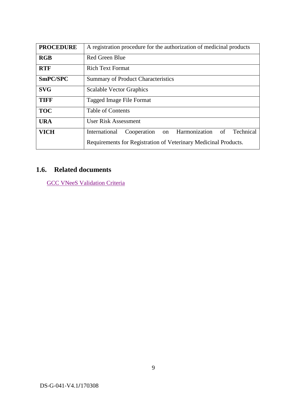| <b>PROCEDURE</b> | A registration procedure for the authorization of medicinal products |
|------------------|----------------------------------------------------------------------|
| RGB              | <b>Red Green Blue</b>                                                |
| <b>RTF</b>       | <b>Rich Text Format</b>                                              |
| SmPC/SPC         | <b>Summary of Product Characteristics</b>                            |
| <b>SVG</b>       | <b>Scalable Vector Graphics</b>                                      |
| TIFF             | Tagged Image File Format                                             |
| <b>TOC</b>       | Table of Contents                                                    |
| <b>URA</b>       | User Risk Assessment                                                 |
| <b>VICH</b>      | on Harmonization of<br>Technical<br>International<br>Cooperation     |
|                  | Requirements for Registration of Veterinary Medicinal Products.      |

# <span id="page-8-0"></span>**1.6. Related documents**

GCC VNeeS [Validation Criteria](https://www.sfda.gov.sa/sites/default/files/2021-11/GCCVNeeSValidationCriteria.xlsx)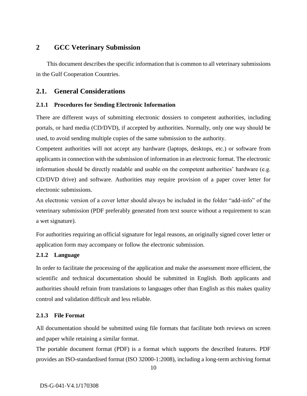# <span id="page-9-0"></span>**2 GCC Veterinary Submission**

This document describes the specific information that is common to all veterinary submissions in the Gulf Cooperation Countries.

# <span id="page-9-1"></span>**2.1. General Considerations**

### <span id="page-9-2"></span>**2.1.1 Procedures for Sending Electronic Information**

There are different ways of submitting electronic dossiers to competent authorities, including portals, or hard media (CD/DVD), if accepted by authorities. Normally, only one way should be used, to avoid sending multiple copies of the same submission to the authority.

Competent authorities will not accept any hardware (laptops, desktops, etc.) or software from applicants in connection with the submission of information in an electronic format. The electronic information should be directly readable and usable on the competent authorities' hardware (e.g. CD/DVD drive) and software. Authorities may require provision of a paper cover letter for electronic submissions.

An electronic version of a cover letter should always be included in the folder "add-info" of the veterinary submission (PDF preferably generated from text source without a requirement to scan a wet signature).

For authorities requiring an official signature for legal reasons, an originally signed cover letter or application form may accompany or follow the electronic submission.

### <span id="page-9-3"></span>**2.1.2 Language**

In order to facilitate the processing of the application and make the assessment more efficient, the scientific and technical documentation should be submitted in English. Both applicants and authorities should refrain from translations to languages other than English as this makes quality control and validation difficult and less reliable.

### <span id="page-9-4"></span>**2.1.3 File Format**

All documentation should be submitted using file formats that facilitate both reviews on screen and paper while retaining a similar format.

The portable document format (PDF) is a format which supports the described features. PDF provides an ISO-standardised format (ISO 32000-1:2008), including a long-term archiving format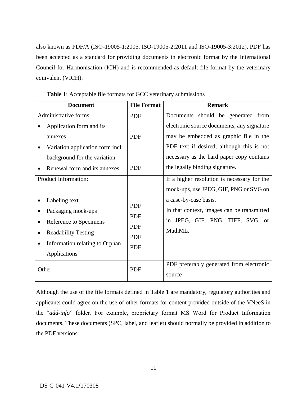also known as PDF/A (ISO-19005-1:2005, ISO-19005-2:2011 and ISO-19005-3:2012). PDF has been accepted as a standard for providing documents in electronic format by the International Council for Harmonisation (ICH) and is recommended as default file format by the veterinary equivalent (VICH).

| <b>Document</b>                                                                                                                               | <b>File Format</b>                                          | <b>Remark</b>                                                                                                      |
|-----------------------------------------------------------------------------------------------------------------------------------------------|-------------------------------------------------------------|--------------------------------------------------------------------------------------------------------------------|
| Administrative forms:                                                                                                                         | PDF                                                         | Documents should be generated from                                                                                 |
| Application form and its                                                                                                                      |                                                             | electronic source documents, any signature                                                                         |
| annexes                                                                                                                                       | <b>PDF</b>                                                  | may be embedded as graphic file in the                                                                             |
| Variation application form incl.                                                                                                              |                                                             | PDF text if desired, although this is not                                                                          |
| background for the variation                                                                                                                  |                                                             | necessary as the hard paper copy contains                                                                          |
| Renewal form and its annexes                                                                                                                  | <b>PDF</b>                                                  | the legally binding signature.                                                                                     |
| Product Information:                                                                                                                          |                                                             | If a higher resolution is necessary for the<br>mock-ups, use JPEG, GIF, PNG or SVG on                              |
| Labeling text<br>Packaging mock-ups<br>Reference to Specimens<br><b>Readability Testing</b><br>Information relating to Orphan<br>Applications | <b>PDF</b><br>PDF<br><b>PDF</b><br><b>PDF</b><br><b>PDF</b> | a case-by-case basis.<br>In that context, images can be transmitted<br>in JPEG, GIF, PNG, TIFF, SVG, or<br>MathML. |
| Other                                                                                                                                         | <b>PDF</b>                                                  | PDF preferably generated from electronic<br>source                                                                 |

**Table 1**: Acceptable file formats for GCC veterinary submissions

Although the use of the file formats defined in Table 1 are mandatory, regulatory authorities and applicants could agree on the use of other formats for content provided outside of the VNeeS in the "*add-info*" folder. For example, proprietary format MS Word for Product Information documents. These documents (SPC, label, and leaflet) should normally be provided in addition to the PDF versions.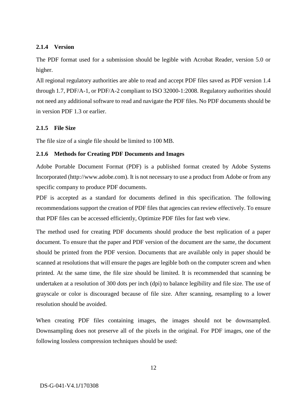### <span id="page-11-0"></span>**2.1.4 Version**

The PDF format used for a submission should be legible with Acrobat Reader, version 5.0 or higher.

All regional regulatory authorities are able to read and accept PDF files saved as PDF version 1.4 through 1.7, PDF/A-1, or PDF/A-2 compliant to ISO 32000-1:2008. Regulatory authorities should not need any additional software to read and navigate the PDF files. No PDF documents should be in version PDF 1.3 or earlier.

### <span id="page-11-1"></span>**2.1.5 File Size**

The file size of a single file should be limited to 100 MB.

### <span id="page-11-2"></span>**2.1.6 Methods for Creating PDF Documents and Images**

Adobe Portable Document Format (PDF) is a published format created by Adobe Systems Incorporated (http://www.adobe.com). It is not necessary to use a product from Adobe or from any specific company to produce PDF documents.

PDF is accepted as a standard for documents defined in this specification. The following recommendations support the creation of PDF files that agencies can review effectively. To ensure that PDF files can be accessed efficiently, Optimize PDF files for fast web view.

The method used for creating PDF documents should produce the best replication of a paper document. To ensure that the paper and PDF version of the document are the same, the document should be printed from the PDF version. Documents that are available only in paper should be scanned at resolutions that will ensure the pages are legible both on the computer screen and when printed. At the same time, the file size should be limited. It is recommended that scanning be undertaken at a resolution of 300 dots per inch (dpi) to balance legibility and file size. The use of grayscale or color is discouraged because of file size. After scanning, resampling to a lower resolution should be avoided.

When creating PDF files containing images, the images should not be downsampled. Downsampling does not preserve all of the pixels in the original. For PDF images, one of the following lossless compression techniques should be used: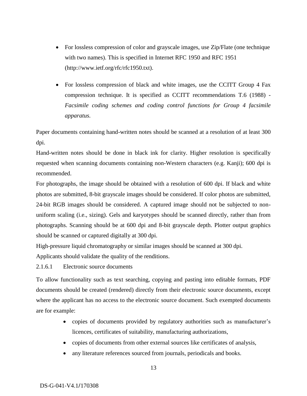- For lossless compression of color and grayscale images, use Zip/Flate (one technique with two names). This is specified in Internet RFC 1950 and RFC 1951 (http://www.ietf.org/rfc/rfc1950.txt).
- For lossless compression of black and white images, use the CCITT Group 4 Fax compression technique. It is specified as CCITT recommendations T.6 (1988) - *Facsimile coding schemes and coding control functions for Group 4 facsimile apparatus.*

Paper documents containing hand-written notes should be scanned at a resolution of at least 300 dpi.

Hand-written notes should be done in black ink for clarity. Higher resolution is specifically requested when scanning documents containing non-Western characters (e.g. Kanji); 600 dpi is recommended.

For photographs, the image should be obtained with a resolution of 600 dpi. If black and white photos are submitted, 8-bit grayscale images should be considered. If color photos are submitted, 24-bit RGB images should be considered. A captured image should not be subjected to nonuniform scaling (i.e., sizing). Gels and karyotypes should be scanned directly, rather than from photographs. Scanning should be at 600 dpi and 8-bit grayscale depth. Plotter output graphics should be scanned or captured digitally at 300 dpi.

High-pressure liquid chromatography or similar images should be scanned at 300 dpi.

Applicants should validate the quality of the renditions.

# <span id="page-12-0"></span>2.1.6.1 Electronic source documents

To allow functionality such as text searching, copying and pasting into editable formats, PDF documents should be created (rendered) directly from their electronic source documents, except where the applicant has no access to the electronic source document. Such exempted documents are for example:

- copies of documents provided by regulatory authorities such as manufacturer's licences, certificates of suitability, manufacturing authorizations,
- copies of documents from other external sources like certificates of analysis,
- any literature references sourced from journals, periodicals and books.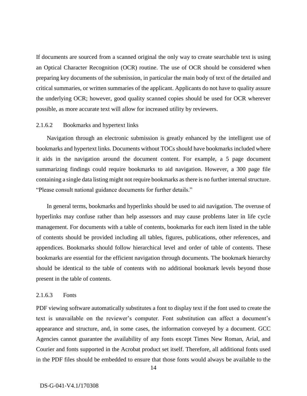If documents are sourced from a scanned original the only way to create searchable text is using an Optical Character Recognition (OCR) routine. The use of OCR should be considered when preparing key documents of the submission, in particular the main body of text of the detailed and critical summaries, or written summaries of the applicant. Applicants do not have to quality assure the underlying OCR; however, good quality scanned copies should be used for OCR wherever possible, as more accurate text will allow for increased utility by reviewers.

#### <span id="page-13-0"></span>2.1.6.2 Bookmarks and hypertext links

Navigation through an electronic submission is greatly enhanced by the intelligent use of bookmarks and hypertext links. Documents without TOCs should have bookmarks included where it aids in the navigation around the document content. For example, a 5 page document summarizing findings could require bookmarks to aid navigation. However, a 300 page file containing a single data listing might not require bookmarks as there is no further internal structure. "Please consult national guidance documents for further details."

In general terms, bookmarks and hyperlinks should be used to aid navigation. The overuse of hyperlinks may confuse rather than help assessors and may cause problems later in life cycle management. For documents with a table of contents, bookmarks for each item listed in the table of contents should be provided including all tables, figures, publications, other references, and appendices. Bookmarks should follow hierarchical level and order of table of contents. These bookmarks are essential for the efficient navigation through documents. The bookmark hierarchy should be identical to the table of contents with no additional bookmark levels beyond those present in the table of contents.

### <span id="page-13-1"></span>2.1.6.3 Fonts

PDF viewing software automatically substitutes a font to display text if the font used to create the text is unavailable on the reviewer's computer. Font substitution can affect a document's appearance and structure, and, in some cases, the information conveyed by a document. GCC Agencies cannot guarantee the availability of any fonts except Times New Roman, Arial, and Courier and fonts supported in the Acrobat product set itself. Therefore, all additional fonts used in the PDF files should be embedded to ensure that those fonts would always be available to the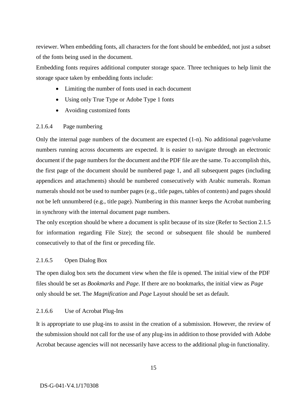reviewer. When embedding fonts, all characters for the font should be embedded, not just a subset of the fonts being used in the document.

Embedding fonts requires additional computer storage space. Three techniques to help limit the storage space taken by embedding fonts include:

- Limiting the number of fonts used in each document
- Using only True Type or Adobe Type 1 fonts
- Avoiding customized fonts

### <span id="page-14-0"></span>2.1.6.4 Page numbering

Only the internal page numbers of the document are expected (1-n). No additional page/volume numbers running across documents are expected. It is easier to navigate through an electronic document if the page numbers for the document and the PDF file are the same. To accomplish this, the first page of the document should be numbered page 1, and all subsequent pages (including appendices and attachments) should be numbered consecutively with Arabic numerals. Roman numerals should not be used to number pages (e.g., title pages, tables of contents) and pages should not be left unnumbered (e.g., title page). Numbering in this manner keeps the Acrobat numbering in synchrony with the internal document page numbers.

The only exception should be where a document is split because of its size (Refer to Section 2.1.5 for information regarding File Size); the second or subsequent file should be numbered consecutively to that of the first or preceding file.

#### <span id="page-14-1"></span>2.1.6.5 Open Dialog Box

The open dialog box sets the document view when the file is opened. The initial view of the PDF files should be set as *Bookmarks* and *Page*. If there are no bookmarks, the initial view as *Page* only should be set. The *Magnification* and *Page* Layout should be set as default.

#### <span id="page-14-2"></span>2.1.6.6 Use of Acrobat Plug-Ins

It is appropriate to use plug-ins to assist in the creation of a submission. However, the review of the submission should not call for the use of any plug-ins in addition to those provided with Adobe Acrobat because agencies will not necessarily have access to the additional plug-in functionality.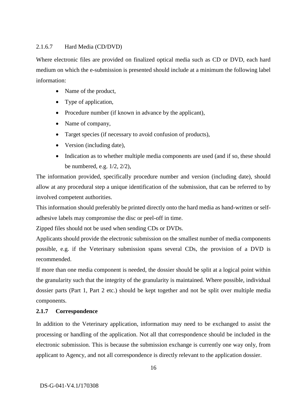### <span id="page-15-0"></span>2.1.6.7 Hard Media (CD/DVD)

Where electronic files are provided on finalized optical media such as CD or DVD, each hard medium on which the e-submission is presented should include at a minimum the following label information:

- Name of the product,
- Type of application,
- Procedure number (if known in advance by the applicant),
- Name of company,
- Target species (if necessary to avoid confusion of products),
- Version (including date),
- Indication as to whether multiple media components are used (and if so, these should be numbered, e.g. 1/2, 2/2),

The information provided, specifically procedure number and version (including date), should allow at any procedural step a unique identification of the submission, that can be referred to by involved competent authorities.

This information should preferably be printed directly onto the hard media as hand-written or selfadhesive labels may compromise the disc or peel-off in time.

Zipped files should not be used when sending CDs or DVDs.

Applicants should provide the electronic submission on the smallest number of media components possible, e.g. if the Veterinary submission spans several CDs, the provision of a DVD is recommended.

If more than one media component is needed, the dossier should be split at a logical point within the granularity such that the integrity of the granularity is maintained. Where possible, individual dossier parts (Part 1, Part 2 etc.) should be kept together and not be split over multiple media components.

# <span id="page-15-1"></span>**2.1.7 Correspondence**

In addition to the Veterinary application, information may need to be exchanged to assist the processing or handling of the application. Not all that correspondence should be included in the electronic submission. This is because the submission exchange is currently one way only, from applicant to Agency, and not all correspondence is directly relevant to the application dossier.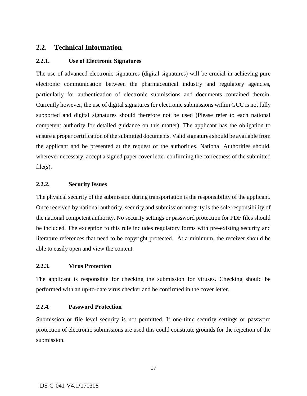# <span id="page-16-0"></span>**2.2. Technical Information**

### <span id="page-16-1"></span>**2.2.1. Use of Electronic Signatures**

The use of advanced electronic signatures (digital signatures) will be crucial in achieving pure electronic communication between the pharmaceutical industry and regulatory agencies, particularly for authentication of electronic submissions and documents contained therein. Currently however, the use of digital signatures for electronic submissions within GCC is not fully supported and digital signatures should therefore not be used (Please refer to each national competent authority for detailed guidance on this matter). The applicant has the obligation to ensure a proper certification of the submitted documents. Valid signatures should be available from the applicant and be presented at the request of the authorities. National Authorities should, wherever necessary, accept a signed paper cover letter confirming the correctness of the submitted  $file(s)$ .

### <span id="page-16-2"></span>**2.2.2. Security Issues**

The physical security of the submission during transportation is the responsibility of the applicant. Once received by national authority, security and submission integrity is the sole responsibility of the national competent authority. No security settings or password protection for PDF files should be included. The exception to this rule includes regulatory forms with pre-existing security and literature references that need to be copyright protected. At a minimum, the receiver should be able to easily open and view the content.

#### <span id="page-16-3"></span>**2.2.3. Virus Protection**

The applicant is responsible for checking the submission for viruses. Checking should be performed with an up-to-date virus checker and be confirmed in the cover letter.

#### <span id="page-16-4"></span>**2.2.4. Password Protection**

Submission or file level security is not permitted. If one-time security settings or password protection of electronic submissions are used this could constitute grounds for the rejection of the submission.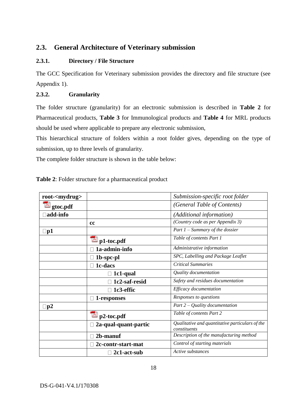# <span id="page-17-0"></span>**2.3. General Architecture of Veterinary submission**

# <span id="page-17-1"></span>**2.3.1. Directory / File Structure**

The GCC Specification for Veterinary submission provides the directory and file structure (see [Appendix](#page-28-0) 1).

# <span id="page-17-2"></span>**2.3.2. Granularity**

The folder structure (granularity) for an electronic submission is described in **Table 2** for Pharmaceutical products, **Table 3** for Immunological products and **Table 4** for MRL products should be used where applicable to prepare any electronic submission,

This hierarchical structure of folders within a root folder gives, depending on the type of submission, up to three levels of granularity.

The complete folder structure is shown in the table below:

| root- <mydrug></mydrug> |                                  | Submission-specific root folder                                 |
|-------------------------|----------------------------------|-----------------------------------------------------------------|
| gtoc.pdf                |                                  | (General Table of Contents)                                     |
| add-info                |                                  | (Additional information)                                        |
|                         | cc                               | (Country code as per Appendix 3)                                |
| $\Box$ p1               |                                  | Part $1$ – Summary of the dossier                               |
|                         | $\blacktriangleright$ p1-toc.pdf | Table of contents Part 1                                        |
|                         | 1a-admin-info                    | Administrative information                                      |
|                         | 1b-spc-pl                        | SPC, Labelling and Package Leaflet                              |
|                         | 1c-dacs                          | <b>Critical Summaries</b>                                       |
|                         | 1c1-qual                         | Quality documentation                                           |
|                         | 1c2-saf-resid                    | Safety and residues documentation                               |
|                         | 1c3-effic                        | Efficacy documentation                                          |
|                         | 1-responses                      | Responses to questions                                          |
| $\square$ p2            |                                  | Part $2$ – Quality documentation                                |
|                         | p2-toc.pdf                       | Table of contents Part 2                                        |
|                         | 2a-qual-quant-partic             | Qualitative and quantitative particulars of the<br>constituents |
|                         | 2b-manuf                         | Description of the manufacturing method                         |
|                         | 2c-contr-start-mat               | Control of starting materials                                   |
|                         | 2c1-act-sub                      | Active substances                                               |

# **Table 2**: Folder structure for a pharmaceutical product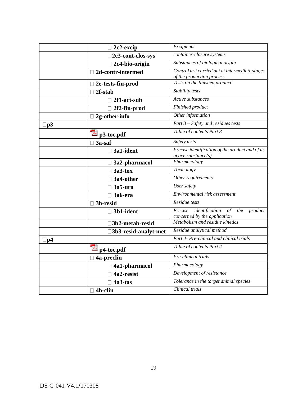|              | $\Box$ 2c2-excip                       | Excipients                                        |
|--------------|----------------------------------------|---------------------------------------------------|
|              | □2c3-cont-clos-sys                     | container-closure systems                         |
|              | $\Box$ 2c4-bio-origin                  | Substances of biological origin                   |
|              | □ 2d-contr-intermed                    | Control test carried out at intermediate stages   |
|              |                                        | of the production process                         |
|              | $\Box$ 2e-tests-fin-prod               | Tests on the finished product                     |
|              | 2f-stab<br>П                           | Stability tests                                   |
|              | $\Box$ 2f1-act-sub                     | Active substances                                 |
|              | $\Box$ 2f2-fin-prod                    | Finished product                                  |
|              | $\Box$ 2g-other-info                   | Other information                                 |
| $\square$ p3 |                                        | Part 3 - Safety and residues tests                |
|              | $\mathbb{Z}_{p3\text{-}toc.pdf}$       | Table of contents Part 3                          |
|              | $\Box$ 3a-saf                          | Safety tests                                      |
|              | $\Box$ 3a1-ident                       | Precise identification of the product and of its  |
|              |                                        | $active$ substance $(s)$                          |
|              | $\Box$ 3a2-pharmacol                   | Pharmacology                                      |
|              | $\Box$ 3a3-tox                         | Toxicology                                        |
|              | $\Box$ 3a4-other                       | Other requirements                                |
|              | $\Box$ 3a5-ura                         | User safety                                       |
|              | $\Box$ 3a6-era                         | Environmental risk assessment                     |
|              | □ 3b-resid                             | Residue tests                                     |
|              | $\Box$ 3b1-ident                       | Precise<br>identification<br>of<br>the<br>product |
|              |                                        | concerned by the application                      |
|              | □3b2-metab-resid                       | Metabolism and residue kinetics                   |
|              | □3b3-resid-analyt-met                  | Residue analytical method                         |
| $\square$ p4 |                                        | Part 4- Pre-clinical and clinical trials          |
|              | $\overline{\triangleright}$ p4-toc.pdf | Table of contents Part 4                          |
|              | 4a-preclin                             | Pre-clinical trials                               |
|              | $\Box$ 4a1-pharmacol                   | Pharmacology                                      |
|              | 4a2-resist                             | Development of resistance                         |
|              | $\Box$ 4a3-tas                         | Tolerance in the target animal species            |
|              | $\Box$ 4b-clin                         | Clinical trials                                   |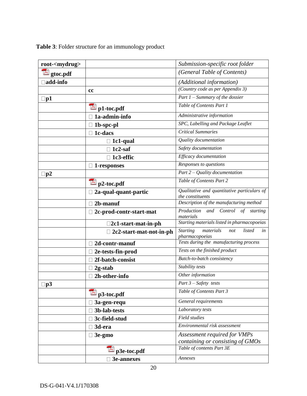| root- <mydrug></mydrug>   |                                  | Submission-specific root folder                                       |
|---------------------------|----------------------------------|-----------------------------------------------------------------------|
| $\blacktriangle$ gtoc.pdf |                                  | (General Table of Contents)                                           |
| add-info                  |                                  | (Additional information)                                              |
|                           | cc                               | (Country code as per Appendix 3)                                      |
| $\Box$ p1                 |                                  | Part $1$ – Summary of the dossier                                     |
|                           | $\triangle$ p1-toc.pdf           | Table of Contents Part 1                                              |
|                           | 1a-admin-info                    | Administrative information                                            |
|                           | 1b-spc-pl                        | SPC, Labelling and Package Leaflet                                    |
|                           | 1c-dacs                          | <b>Critical Summaries</b>                                             |
|                           | $\Box$ 1c1-qual                  | Quality documentation                                                 |
|                           | 1c2-saf                          | Safety documentation                                                  |
|                           | $\Box$ 1c3-effic                 | Efficacy documentation                                                |
|                           | $\Box$ 1-responses               | Responses to questions                                                |
| $\Box$ p2                 |                                  | Part $2$ – Quality documentation                                      |
|                           | $\triangle$ p2-toc.pdf           | Table of Contents Part 2                                              |
|                           | 2a-qual-quant-partic             | Qualitative and quantitative particulars of<br>the constituents       |
|                           | 2b-manuf                         | Description of the manufacturing method                               |
|                           | 2c-prod-contr-start-mat          | $\overline{P}$ roduction<br>and Control of<br>starting<br>materials   |
|                           | $\square$ 2c1-start-mat-in-ph    | Starting materials listed in pharmacopoeias                           |
|                           | 2c2-start-mat-not-in-ph          | <b>Starting</b><br>materials<br>listed<br>not<br>in<br>pharmacopoeias |
|                           | 2d-contr-manuf                   | Tests during the manufacturing process                                |
|                           | 2e-tests-fin-prod                | Tests on the finished product                                         |
|                           | 2f-batch-consist                 | Batch-to-batch consistency                                            |
|                           | 2g-stab                          | Stability tests                                                       |
|                           | 2h-other-info                    | Other information                                                     |
| p3                        |                                  | $Part 3-Safety$ tests                                                 |
|                           | $\blacktriangleright$ p3-toc.pdf | Table of Contents Part 3                                              |
|                           | 3a-gen-requ                      | General requirements                                                  |
|                           | 3b-lab-tests                     | Laboratory tests                                                      |
|                           | 3c-field-stud                    | Field studies                                                         |
|                           | 3d-era                           | Environmental risk assessment                                         |
|                           | 3e-gmo                           | Assessment required for VMPs                                          |
|                           |                                  | containing or consisting of GMOs                                      |
|                           | $\triangle$ p3e-toc.pdf          | Table of contents Part 3E                                             |
|                           | 3e-annexes                       | Annexes                                                               |

**Table 3**: Folder structure for an immunology product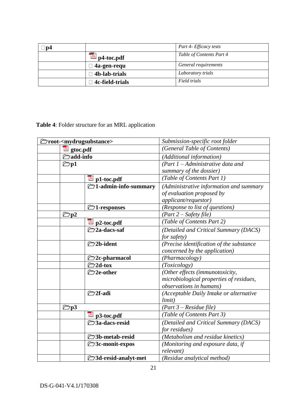| 'p4 |                 | Part 4- Efficacy tests   |
|-----|-----------------|--------------------------|
|     | p4-toc.pdf      | Table of Contents Part 4 |
|     | 4a-gen-requ     | General requirements     |
|     | 4b-lab-trials   | Laboratory trials        |
|     | 4c-field-trials | Field trials             |

**Table 4**: Folder structure for an MRL application

|                          | ◯root- <mydrugsubstance></mydrugsubstance> | Submission-specific root folder          |  |
|--------------------------|--------------------------------------------|------------------------------------------|--|
| gtoc.pdf                 |                                            | (General Table of Contents)              |  |
| <b><i>Z</i></b> add-info |                                            | (Additional information)                 |  |
| $\mathbb{Z}$ p1          |                                            | $(Part 1 - Administrative data and$      |  |
|                          |                                            | summary of the dossier)                  |  |
|                          | $\geq$ p1-toc.pdf                          | (Table of Contents Part 1)               |  |
|                          | $\Box$ 1-admin-info-summary                | (Administrative information and summary  |  |
|                          |                                            | of evaluation proposed by                |  |
|                          |                                            | applicant/requestor)                     |  |
|                          | <b>◯</b> 1-responses                       | (Response to list of questions)          |  |
| $\Box$ p2                |                                            | $(Part 2-Safety file)$                   |  |
|                          | $\mathbb{Z}$ p2-toc.pdf                    | (Table of Contents Part 2)               |  |
|                          | <b><del>≧</del>2a-dacs-saf</b>             | (Detailed and Critical Summary (DACS)    |  |
|                          |                                            | for safety)                              |  |
|                          | <b><del></del>∂2b-ident</b>                | (Precise identification of the substance |  |
|                          |                                            | concerned by the application)            |  |
|                          | $\Box$ 2c-pharmacol                        | (Pharmacology)                           |  |
|                          | $2d$ -tox                                  | (Toxicology)                             |  |
|                          | <b><del></del></b> 2e-other                | (Other effects (immunotoxicity,          |  |
|                          |                                            | microbiological properties of residues,  |  |
|                          |                                            | <i>observations in humans</i> )          |  |
|                          | <b><del>≧</del>2f-adi</b>                  | (Acceptable Daily Intake or alternative  |  |
|                          |                                            | limit)                                   |  |
| $\Box$ p3                |                                            | $(Part 3 - Residue file)$                |  |
|                          | $\mathbb{Z}$ p3-toc.pdf                    | (Table of Contents Part 3)               |  |
|                          | <b>∂3a-dacs-resid</b>                      | (Detailed and Critical Summary (DACS)    |  |
|                          |                                            | for residues)                            |  |
|                          | <b>◯3b-metab-resid</b>                     | (Metabolism and residue kinetics)        |  |
|                          | <b>E</b> 3c-monit-expos                    | (Monitoring and exposure data, if        |  |
|                          |                                            | relevant)                                |  |
|                          | <b>73d-resid-analyt-met</b>                | (Residue analytical method)              |  |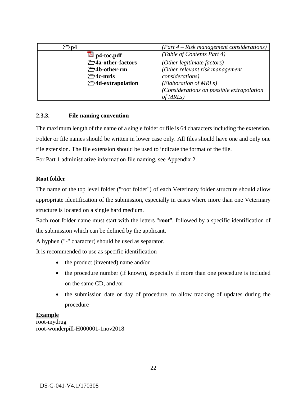|  |                                             | $(Part 4 - Risk management considerations)$ |
|--|---------------------------------------------|---------------------------------------------|
|  | p4-toc.pdf                                  | (Table of Contents Part 4)                  |
|  | <sup>2</sup> / <sub>4</sub> a-other-factors | (Other legitimate factors)                  |
|  | <b>◯4b-other-rm</b>                         | (Other relevant risk management             |
|  | $\Box$ 4c-mrls                              | <i>considerations</i> )                     |
|  | <b><del></del>∂</b> 4d-extrapolation        | (Elaboration of MRLs)                       |
|  |                                             | (Considerations on possible extrapolation   |
|  |                                             | of MRLs)                                    |

### <span id="page-21-0"></span>**2.3.3. File naming convention**

The maximum length of the name of a single folder or file is 64 characters including the extension. Folder or file names should be written in lower case only. All files should have one and only one file extension. The file extension should be used to indicate the format of the file. For Part 1 administrative information file naming, see Appendix 2.

### **Root folder**

The name of the top level folder ("root folder") of each Veterinary folder structure should allow appropriate identification of the submission, especially in cases where more than one Veterinary structure is located on a single hard medium.

Each root folder name must start with the letters "**root**", followed by a specific identification of the submission which can be defined by the applicant.

A hyphen ("-" character) should be used as separator.

It is recommended to use as specific identification

- the product (invented) name and/or
- the procedure number (if known), especially if more than one procedure is included on the same CD, and /or
- the submission date or day of procedure, to allow tracking of updates during the procedure

### **Example**

root-mydrug root-wonderpill-H000001-1nov2018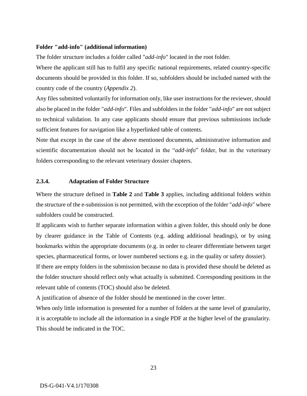### **Folder "add-info" (additional information)**

The folder structure includes a folder called "*add-info*" located in the root folder.

Where the applicant still has to fulfil any specific national requirements, related country-specific documents should be provided in this folder. If so, subfolders should be included named with the country code of the country (*Appendix 2*).

Any files submitted voluntarily for information only, like user instructions for the reviewer, should also be placed in the folder "*add-info*". Files and subfolders in the folder "*add-info*" are not subject to technical validation. In any case applicants should ensure that previous submissions include sufficient features for navigation like a hyperlinked table of contents.

Note that except in the case of the above mentioned documents, administrative information and scientific documentation should not be located in the "*add-info*" folder, but in the veterinary folders corresponding to the relevant veterinary dossier chapters.

### <span id="page-22-0"></span>**2.3.4. Adaptation of Folder Structure**

Where the structure defined in **Table 2** and **Table 3** applies, including additional folders within the structure of the e-submission is not permitted, with the exception of the folder "*add-info*" where subfolders could be constructed.

If applicants wish to further separate information within a given folder, this should only be done by clearer guidance in the Table of Contents (e.g. adding additional headings), or by using bookmarks within the appropriate documents (e.g. in order to clearer differentiate between target species, pharmaceutical forms, or lower numbered sections e.g. in the quality or safety dossier).

If there are empty folders in the submission because no data is provided these should be deleted as the folder structure should reflect only what actually is submitted. Corresponding positions in the relevant table of contents (TOC) should also be deleted.

A justification of absence of the folder should be mentioned in the cover letter.

When only little information is presented for a number of folders at the same level of granularity, it is acceptable to include all the information in a single PDF at the higher level of the granularity. This should be indicated in the TOC.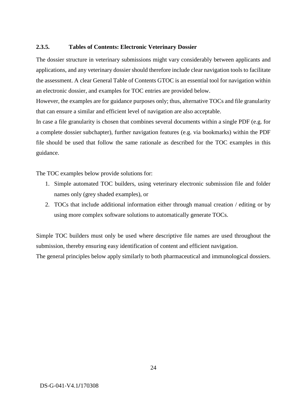### <span id="page-23-0"></span>**2.3.5. Tables of Contents: Electronic Veterinary Dossier**

The dossier structure in veterinary submissions might vary considerably between applicants and applications, and any veterinary dossier should therefore include clear navigation tools to facilitate the assessment. A clear General Table of Contents GTOC is an essential tool for navigation within an electronic dossier, and examples for TOC entries are provided below.

However, the examples are for guidance purposes only; thus, alternative TOCs and file granularity that can ensure a similar and efficient level of navigation are also acceptable.

In case a file granularity is chosen that combines several documents within a single PDF (e.g. for a complete dossier subchapter), further navigation features (e.g. via bookmarks) within the PDF file should be used that follow the same rationale as described for the TOC examples in this guidance.

The TOC examples below provide solutions for:

- 1. Simple automated TOC builders, using veterinary electronic submission file and folder names only (grey shaded examples), or
- 2. TOCs that include additional information either through manual creation / editing or by using more complex software solutions to automatically generate TOCs.

Simple TOC builders must only be used where descriptive file names are used throughout the submission, thereby ensuring easy identification of content and efficient navigation.

The general principles below apply similarly to both pharmaceutical and immunological dossiers.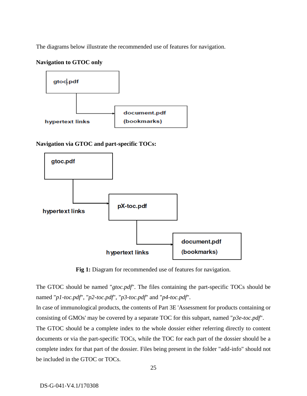The diagrams below illustrate the recommended use of features for navigation.

### **Navigation to GTOC only**



**Navigation via GTOC and part-specific TOCs:**



**Fig 1:** Diagram for recommended use of features for navigation.

The GTOC should be named "*gtoc.pdf*". The files containing the part-specific TOCs should be named "*p1-toc.pdf*", "*p2-toc.pdf*", "*p3-toc.pdf*" and "*p4-toc.pdf*".

In case of immunological products, the contents of Part 3E 'Assessment for products containing or consisting of GMOs' may be covered by a separate TOC for this subpart, named "*p3e-toc.pdf*".

The GTOC should be a complete index to the whole dossier either referring directly to content documents or via the part-specific TOCs, while the TOC for each part of the dossier should be a complete index for that part of the dossier. Files being present in the folder "add-info" should not be included in the GTOC or TOCs.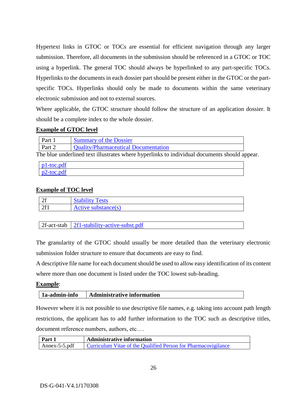Hypertext links in GTOC or TOCs are essential for efficient navigation through any larger submission. Therefore, all documents in the submission should be referenced in a GTOC or TOC using a hyperlink. The general TOC should always be hyperlinked to any part-specific TOCs. Hyperlinks to the documents in each dossier part should be present either in the GTOC or the partspecific TOCs. Hyperlinks should only be made to documents within the same veterinary electronic submission and not to external sources.

Where applicable, the GTOC structure should follow the structure of an application dossier. It should be a complete index to the whole dossier.

### **Example of GTOC level**

| Part   | <b>Summary of the Dossier</b>        |
|--------|--------------------------------------|
| Part 2 | Quality/Pharmaceutical Documentation |

The blue underlined text illustrates where hyperlinks to individual documents should appear.

| $pl$ -toc.pdf |  |  |
|---------------|--|--|
| p2-toc.pdf    |  |  |

### **Example of TOC level**

| $\Delta c$<br>∠⊥        | <b>Stability Tests</b> |
|-------------------------|------------------------|
| $\Delta$ C <sub>1</sub> | Active substance(s)    |

| $2f$ -act-stab   $2f$ 1-stability-active-subst.pdf |  |
|----------------------------------------------------|--|
|                                                    |  |

The granularity of the GTOC should usually be more detailed than the veterinary electronic submission folder structure to ensure that documents are easy to find.

A descriptive file name for each document should be used to allow easy identification of its content where more than one document is listed under the TOC lowest sub-heading.

### **Example**:

| 1a-admin-info | <b>Administrative information</b> |
|---------------|-----------------------------------|
|---------------|-----------------------------------|

However where it is not possible to use descriptive file names, e.g. taking into account path length restrictions, the applicant has to add further information to the TOC such as descriptive titles, document reference numbers, authors, etc.…

| Part 1               | <b>Administrative information</b>                              |  |  |
|----------------------|----------------------------------------------------------------|--|--|
| $\sim$ Annex-5-5.pdf | Curriculum Vitae of the Qualified Person for Pharmacovigilance |  |  |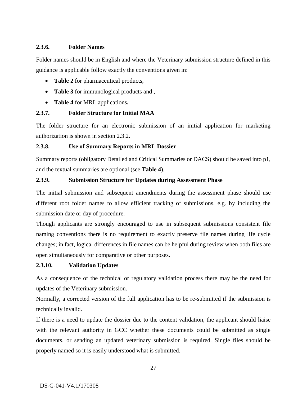### <span id="page-26-0"></span>**2.3.6. Folder Names**

Folder names should be in English and where the Veterinary submission structure defined in this guidance is applicable follow exactly the conventions given in:

- **Table 2** for pharmaceutical products,
- **Table 3** for immunological products and ,
- **Table 4** for MRL applications**.**

# <span id="page-26-1"></span>**2.3.7. Folder Structure for Initial MAA**

The folder structure for an electronic submission of an initial application for marketing authorization is shown in section 2.3.2.

# <span id="page-26-2"></span>**2.3.8. Use of Summary Reports in MRL Dossier**

Summary reports (obligatory Detailed and Critical Summaries or DACS) should be saved into p1, and the textual summaries are optional (see **Table 4**).

### <span id="page-26-3"></span>**2.3.9. Submission Structure for Updates during Assessment Phase**

The initial submission and subsequent amendments during the assessment phase should use different root folder names to allow efficient tracking of submissions, e.g. by including the submission date or day of procedure.

Though applicants are strongly encouraged to use in subsequent submissions consistent file naming conventions there is no requirement to exactly preserve file names during life cycle changes; in fact, logical differences in file names can be helpful during review when both files are open simultaneously for comparative or other purposes.

# <span id="page-26-4"></span>**2.3.10. Validation Updates**

As a consequence of the technical or regulatory validation process there may be the need for updates of the Veterinary submission.

Normally, a corrected version of the full application has to be re-submitted if the submission is technically invalid.

If there is a need to update the dossier due to the content validation, the applicant should liaise with the relevant authority in GCC whether these documents could be submitted as single documents, or sending an updated veterinary submission is required. Single files should be properly named so it is easily understood what is submitted.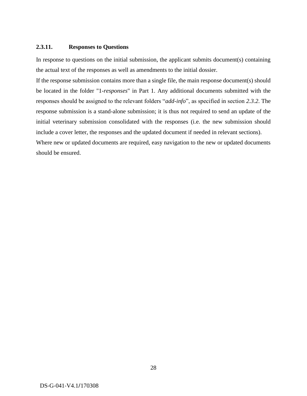### <span id="page-27-0"></span>**2.3.11. Responses to Questions**

In response to questions on the initial submission, the applicant submits document(s) containing the actual text of the responses as well as amendments to the initial dossier.

If the response submission contains more than a single file, the main response document(s) should be located in the folder "1-*responses*" in Part 1. Any additional documents submitted with the responses should be assigned to the relevant folders "*add-info*", as specified in section *2.3.2*. The response submission is a stand-alone submission; it is thus not required to send an update of the initial veterinary submission consolidated with the responses (i.e. the new submission should include a cover letter, the responses and the updated document if needed in relevant sections).

Where new or updated documents are required, easy navigation to the new or updated documents should be ensured.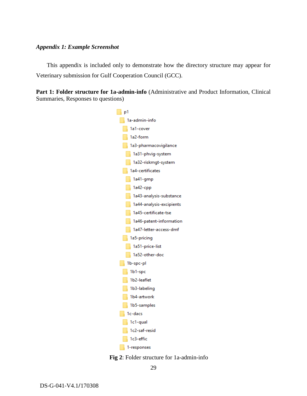#### <span id="page-28-0"></span>*Appendix 1: Example Screenshot*

This appendix is included only to demonstrate how the directory structure may appear for Veterinary submission for Gulf Cooperation Council (GCC).

Part 1: Folder structure for 1a-admin-info (Administrative and Product Information, Clinical Summaries, Responses to questions)



**Fig 2**: Folder structure for 1a-admin-info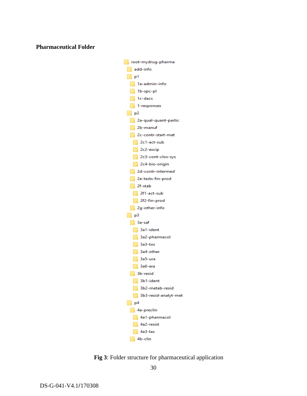### **Pharmaceutical Folder**



**Fig 3**: Folder structure for pharmaceutical application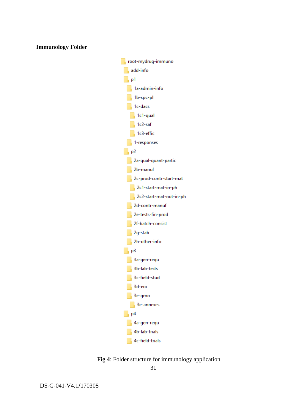### **Immunology Folder**



**Fig 4**: Folder structure for immunology application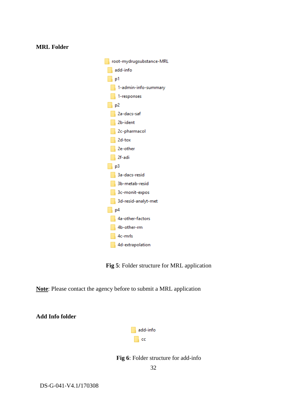| root-mydrugsubstance-MRL   |  |  |  |
|----------------------------|--|--|--|
| add-info                   |  |  |  |
|                            |  |  |  |
| 1-admin-info-summary       |  |  |  |
| $\blacksquare$ 1-responses |  |  |  |
| ∣ <sub>n</sub> p2          |  |  |  |
| 2a-dacs-saf                |  |  |  |
| 2b-ident                   |  |  |  |
| 2c-pharmacol               |  |  |  |
| $2d$ -tox                  |  |  |  |
| 2e-other                   |  |  |  |
| 2f-adi                     |  |  |  |
| $\begin{array}{ c c }$ p3  |  |  |  |
| 3a-dacs-resid              |  |  |  |
| 3b-metab-resid             |  |  |  |
| 3c-monit-expos             |  |  |  |
| 3d-resid-analyt-met        |  |  |  |
| $\Box$ p4                  |  |  |  |
| 4a-other-factors           |  |  |  |
| 4b-other-rm                |  |  |  |
| $\sqrt{4c}$ -mrls          |  |  |  |
| 4d-extrapolation           |  |  |  |

**Fig 5**: Folder structure for MRL application

**Note**: Please contact the agency before to submit a MRL application



**Fig 6**: Folder structure for add-info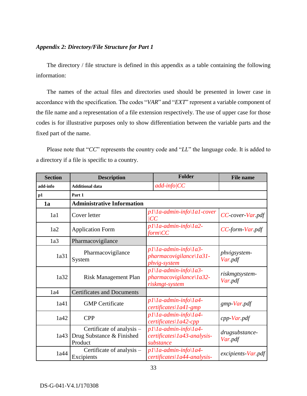### <span id="page-32-0"></span>*Appendix 2: Directory/File Structure for Part 1*

The directory / file structure is defined in this appendix as a table containing the following information:

The names of the actual files and directories used should be presented in lower case in accordance with the specification. The codes "*VAR*" and "*EXT*" represent a variable component of the file name and a representation of a file extension respectively. The use of upper case for those codes is for illustrative purposes only to show differentiation between the variable parts and the fixed part of the name.

Please note that "*CC*" represents the country code and "*LL*" the language code. It is added to a directory if a file is specific to a country.

| <b>Section</b>                                  | <b>Description</b>                                                |                                                                                               | <b>Folder</b>                                                                               | <b>File name</b>          |
|-------------------------------------------------|-------------------------------------------------------------------|-----------------------------------------------------------------------------------------------|---------------------------------------------------------------------------------------------|---------------------------|
| add-info                                        | <b>Additional data</b>                                            |                                                                                               | $add\text{-}info/CC$                                                                        |                           |
| p1                                              | Part 1                                                            |                                                                                               |                                                                                             |                           |
| 1a                                              | <b>Administrative Information</b>                                 |                                                                                               |                                                                                             |                           |
| 1a1                                             | Cover letter                                                      | CC                                                                                            | $p1\langle 1a$ -admin-info $\langle 1a1$ -cover                                             | CC-cover-Var.pdf          |
| 1a2                                             | <b>Application Form</b>                                           |                                                                                               | $p1\backslash Ia$ -admin-info $\backslash Ia2$ -<br>form\CC                                 | CC form Var.pdf           |
| 1a3                                             | Pharmacovigilance                                                 |                                                                                               |                                                                                             |                           |
| 1a31                                            | Pharmacovigilance<br>System                                       | $p1\backslash 1a$ -admin-info $\backslash 1a3$ -<br>pharmacovigilance\1a31-<br>phvig-system   |                                                                                             | phvigsystem-<br>Var.pdf   |
| 1a32                                            | <b>Risk Management Plan</b>                                       | $p1\backslash Ia$ -admin-info $\backslash Ia3$ -<br>pharmacovigilance\1a32-<br>riskmgt-system |                                                                                             | riskmgtsystem-<br>Var.pdf |
| 1a4                                             | <b>Certificates and Documents</b>                                 |                                                                                               |                                                                                             |                           |
| 1a41                                            | <b>GMP</b> Certificate                                            |                                                                                               | $p1\backslash 1a$ -admin-info $\backslash 1a4$ -<br>$certificates \$ 1a41-gmp               | gmp-Var.pdf               |
| 1a42                                            | <b>CPP</b>                                                        |                                                                                               | $p1\backslash 1a$ -admin-info $\backslash 1a4$ -<br>$certificates \$ 1a42-cpp               | $cpp$ -Var.pdf            |
| 1a43                                            | Certificate of analysis -<br>Drug Substance & Finished<br>Product | $p1\backslash 1a$ -admin-info $\backslash 1a4$ -<br>certificates\1a43-analysis-<br>substance  |                                                                                             | drugsubstance-<br>Var.pdf |
| Certificate of analysis –<br>1a44<br>Excipients |                                                                   |                                                                                               | $p1\backslash 1a$ -admin-info $\backslash 1a4$ -<br>$certificates \setminus 1a44-analysis-$ | excipients-Var.pdf        |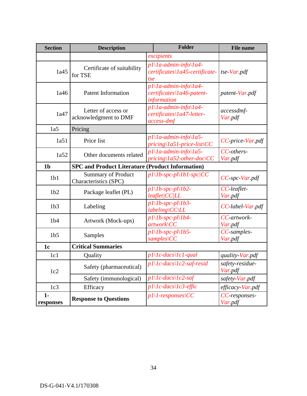| <b>Section</b>                                                            | <b>Description</b>                                 | Folder                                                                                                        |  | <b>File name</b>           |
|---------------------------------------------------------------------------|----------------------------------------------------|---------------------------------------------------------------------------------------------------------------|--|----------------------------|
|                                                                           |                                                    | excipients                                                                                                    |  |                            |
| 1a45                                                                      | Certificate of suitability<br>for TSE              | $p1\backslash 1a$ -admin-info $\backslash 1a4$ -<br>certificates\1a45-certificate-<br>tse                     |  | $tse\,Var.pdf$             |
| 1a46                                                                      | <b>Patent Information</b>                          | $p1\backslash 1a$ -admin-info $\backslash 1a4$ -<br>certificates\1a46-patent-<br>information                  |  | patent-Var.pdf             |
| 1a47                                                                      | Letter of access or<br>acknowledgment to DMF       | $pI\setminus Ia$ -admin-info $\setminus Ia4$ -<br>certificates\1a47-letter-<br>access-dmf                     |  | accessdmf-<br>Var.pdf      |
| 1a5                                                                       | Pricing                                            |                                                                                                               |  |                            |
| 1a51                                                                      | Price list                                         | $p1\backslash 1a$ -admin-info $\backslash 1a5$ -<br>$pricing \langle Ia51-price-list \rangle CC$              |  | CC-price-Var.pdf           |
| 1a52                                                                      | Other documents related                            | $p1\backslash 1a$ -admin-info $\backslash 1a5$ -<br>$pricing \langle Ia52\text{-}other\text{-}doc \rangle CC$ |  | CC-others-<br>Var.pdf      |
| <b>SPC and Product Literature (Product Information)</b><br>1 <sub>b</sub> |                                                    |                                                                                                               |  |                            |
| 1 <sub>b1</sub>                                                           | <b>Summary of Product</b><br>Characteristics (SPC) | $p1\backslash 1b$ -spc-pl $\backslash 1b1$ -spc/CC                                                            |  | $CC$ -spc-Var.pdf          |
| 1 <sub>b2</sub>                                                           | Package leaflet (PL)                               | $p1\backslash 1b$ -spc-pl $\backslash 1b2$ -<br>leaflet/CC/LL                                                 |  | CC-leaflet-<br>Var.pdf     |
| 1 <sub>b3</sub>                                                           | Labeling                                           | $p1\backslash 1b$ -spc-pl $\backslash 1b3$ -<br>$labeling$ \CC\LL                                             |  | CC-label-Var.pdf           |
| 1 <sub>b4</sub>                                                           | Artwork (Mock-ups)                                 | $p1\backslash 1b$ -spc-pl $\backslash 1b4$ -<br>$artwork$ $CC$                                                |  | CC-artwork-<br>Var.pdf     |
| 1 <sub>b5</sub>                                                           | Samples                                            | $p1\backslash 1b$ -spc-pl $\backslash 1b5$ -<br>$samples \setminus CC$                                        |  | CC-samples-<br>Var.pdf     |
| 1 <sub>c</sub>                                                            | <b>Critical Summaries</b>                          |                                                                                                               |  |                            |
| 1c1                                                                       | Quality                                            | $pI\setminus Ic$ -dacs $\setminus IcI$ -qual                                                                  |  | quality-Var.pdf            |
| 1c2                                                                       | Safety (pharmaceutical)                            | $pI\setminus Ic\text{-}dacs\setminus Ic2\text{-}saf\text{-}resid$                                             |  | safety-residue-<br>Var.pdf |
|                                                                           | Safety (immunological)                             | $p1\backslash1c$ -dacs $\backslash1c2$ -saf                                                                   |  | safety-Var.pdf             |
| 1c3                                                                       | Efficacy                                           | $pI\setminus Ic$ -dacs $\setminus Ic3$ -effic                                                                 |  | efficacy-Var.pdf           |
| $1 -$<br>responses                                                        | <b>Response to Questions</b>                       | $p1\backslash 1$ -responses $\backslash CC$                                                                   |  | CC-responses-<br>Var.pdf   |